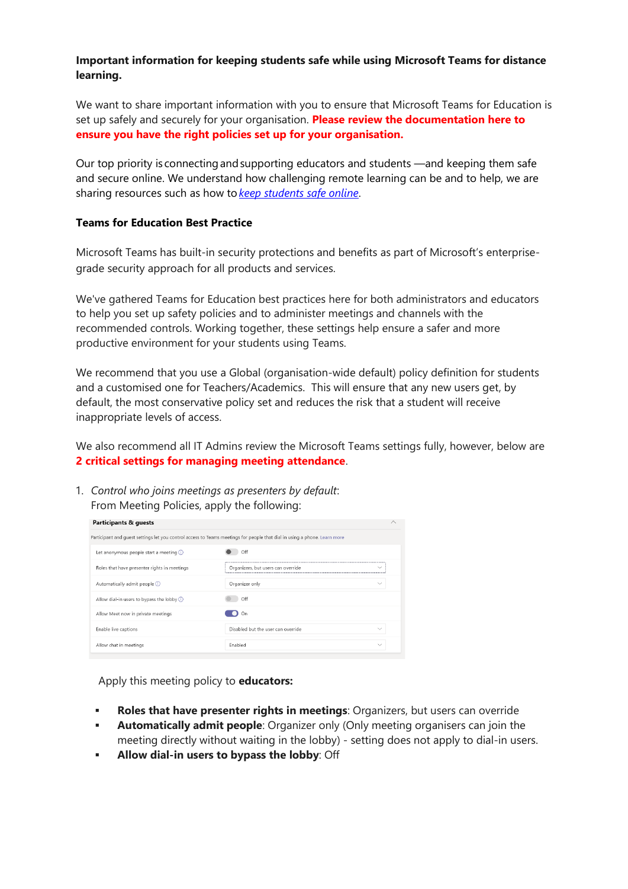### **Important information for keeping students safe while using Microsoft Teams for distance learning.**

We want to share important information with you to ensure that Microsoft Teams for Education is set up safely and securely for your organisation. **Please review the documentation here to ensure you have the right policies set up for your organisation.**

Our top priority is connecting and supporting educators and students —and keeping them safe and secure online. We understand how challenging remote learning can be and to help, we are sharing resources such as how to *[keep students safe online](https://nam06.safelinks.protection.outlook.com/?url=https://support.microsoft.com/en-us/office/keeping-students-safe-while-using-meetings-in-teams-for-distance-learning-f00fa399-0473-4d31-ab72-644c137e11c8&data=02%7c01%7cKasia.Hall%40microsoft.com%7c723129f274b641b2e1de08d85e61a899%7c72f988bf86f141af91ab2d7cd011db47%7c1%7c0%7c637363120826135369&sdata=VcvaqlGQ4vyyzkBzS3bMbFOr/GRjAg93DqfckZMVV00%3D&reserved=0)*.

#### **Teams for Education Best Practice**

Microsoft Teams has built-in security protections and benefits as part of Microsoft's enterprisegrade security approach for all products and services.

We've gathered Teams for Education best practices here for both administrators and educators to help you set up safety policies and to administer meetings and channels with the recommended controls. Working together, these settings help ensure a safer and more productive environment for your students using Teams.

We recommend that you use a Global (organisation-wide default) policy definition for students and a customised one for Teachers/Academics. This will ensure that any new users get, by default, the most conservative policy set and reduces the risk that a student will receive inappropriate levels of access.

We also recommend all IT Admins review the Microsoft Teams settings fully, however, below are **2 critical settings for managing meeting attendance**.

1. *Control who joins meetings as presenters by default*: From Meeting Policies, apply the following:

| Participants & guests                                                                                                     |                                                    |  |  |  |  |
|---------------------------------------------------------------------------------------------------------------------------|----------------------------------------------------|--|--|--|--|
| Participant and guest settings let you control access to Teams meetings for people that dial in using a phone. Learn more |                                                    |  |  |  |  |
| Let anonymous people start a meeting $\odot$                                                                              | Off                                                |  |  |  |  |
| Roles that have presenter rights in meetings                                                                              | Organizers, but users can override                 |  |  |  |  |
| Automatically admit people (i)                                                                                            | Organizer only<br>$\checkmark$                     |  |  |  |  |
| Allow dial-in users to bypass the lobby (i)                                                                               | Off                                                |  |  |  |  |
| Allow Meet now in private meetings                                                                                        | On                                                 |  |  |  |  |
| Enable live captions                                                                                                      | Disabled but the user can override<br>$\checkmark$ |  |  |  |  |
| Allow chat in meetings                                                                                                    | Enabled<br>$\checkmark$                            |  |  |  |  |

Apply this [meeting policy](https://docs.microsoft.com/en-US/microsoftteams/meeting-policies-in-teams#meeting-policy-settings---designated-presenter-role-mode) to **educators:**

- **Roles that have presenter rights in meetings: Organizers, but users can override**
- **Automatically admit people**: Organizer only (Only meeting organisers can join the meeting directly without waiting in the lobby) - setting does not apply to dial-in users.
- **Allow dial-in users to bypass the lobby: Off**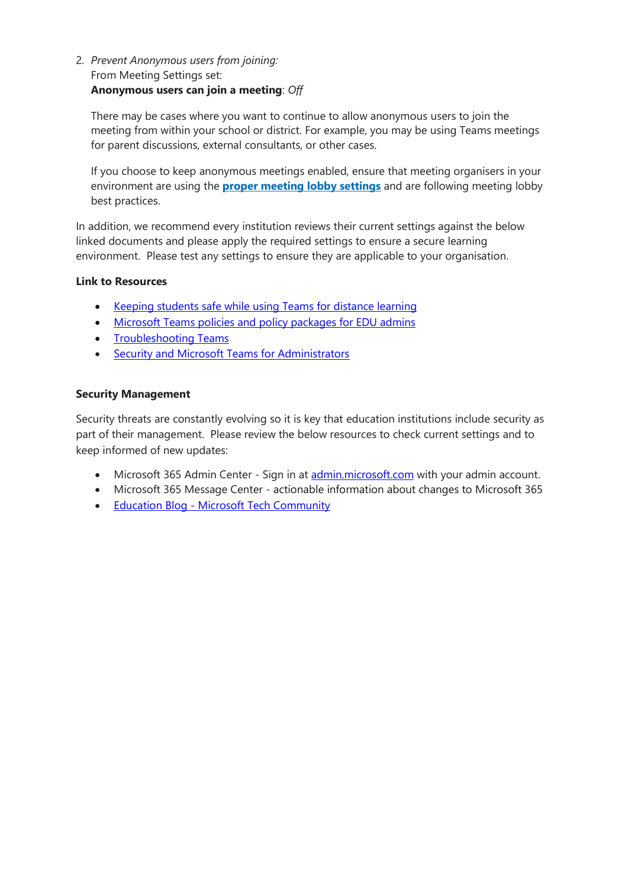## 2. *Prevent Anonymous users from joining:* From Meeting Settings set: **Anonymous users can join a meeting**: *Off*

There may be cases where you want to continue to allow anonymous users to join the meeting from within your school or district. For example, you may be using Teams meetings for parent discussions, external consultants, or other cases.

If you choose to keep anonymous meetings enabled, ensure that meeting organisers in your environment are using the **[proper meeting lobby settings](https://support.microsoft.com/en-us/office/keeping-students-safe-while-using-teams-for-distance-learning-f00fa399-0473-4d31-ab72-644c137e11c8?ui=en-US&rs=en-US&ad=US#bkmk_meetingseducators)** and are following meeting lobby best practices.

In addition, we recommend every institution reviews their current settings against the below linked documents and please apply the required settings to ensure a secure learning environment. Please test any settings to ensure they are applicable to your organisation.

## **Link to Resources**

- [Keeping students safe while using Teams for distance learning](https://support.microsoft.com/en-us/office/keeping-students-safe-while-using-teams-for-distance-learning-f00fa399-0473-4d31-ab72-644c137e11c8?ui=en-US&rs=en-US&ad=US#bkmk_meetingseducators)
- [Microsoft Teams policies and policy packages for EDU admins](https://docs.microsoft.com/en-us/microsoftteams/policy-packages-edu)
- [Troubleshooting Teams](https://support.microsoft.com/en-us/office/troubleshooting-6fa7c08a-6fd4-47a0-b275-90a5f60f1df9?ui=en-US&rs=en-US&ad=US)
- [Security and Microsoft Teams for Administrators](https://docs.microsoft.com/en-us/microsoftteams/teams-security-guide#addressing-threats-to-teams-meetings)

#### **Security Management**

Security threats are constantly evolving so it is key that education institutions include security as part of their management. Please review the below resources to check current settings and to keep informed of new updates:

- Microsoft 365 Admin Center Sign in at [admin.microsoft.com](https://go.microsoft.com/fwlink/p/?linkid=2024339) with your admin account.
- Microsoft 365 Message Center actionable information about changes to Microsoft 365
- Education Blog [Microsoft Tech Community](https://techcommunity.microsoft.com/t5/education-blog/bg-p/EducationBlog)